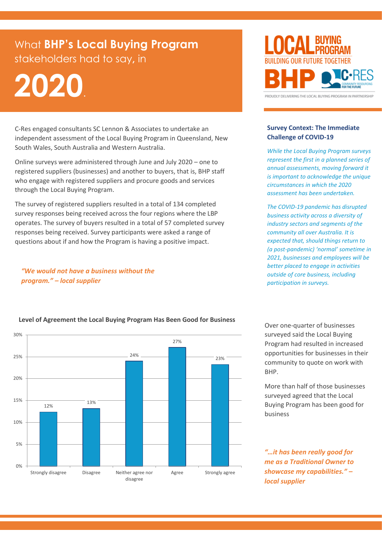# What **BHP's Local Buying Program** stakeholders had to say**,** in

# **2020**.

C-Res engaged consultants [SC Lennon & Associates](http://www.sashalennon.com.au/) to undertake an independent assessment of the Local Buying Program in Queensland, New South Wales, South Australia and Western Australia.

Online surveys were administered through June and July 2020 – one to registered suppliers (businesses) and another to buyers, that is, BHP staff who engage with registered suppliers and procure goods and services through the Local Buying Program.

The survey of registered suppliers resulted in a total of 134 completed survey responses being received across the four regions where the LBP operates. The survey of buyers resulted in a total of 57 completed survey responses being received. Survey participants were asked a range of questions about if and how the Program is having a positive impact.

# *"We would not have a business without the program." – local supplier*



#### **Survey Context: The Immediate Challenge of COVID-19**

*While the Local Buying Program surveys represent the first in a planned series of annual assessments, moving forward it is important to acknowledge the unique circumstances in which the 2020 assessment has been undertaken.*

*The COVID-19 pandemic has disrupted business activity across a diversity of industry sectors and segments of the community all over Australia. It is expected that, should things return to (a post-pandemic) 'normal' sometime in 2021, businesses and employees will be better placed to engage in activities outside of core business, including participation in surveys.*



#### **Level of Agreement the Local Buying Program Has Been Good for Business**

Over one-quarter of businesses surveyed said the Local Buying Program had resulted in increased opportunities for businesses in their community to quote on work with BHP.

More than half of those businesses surveyed agreed that the Local Buying Program has been good for business

*"…it has been really good for me as a Traditional Owner to showcase my capabilities." – local supplier*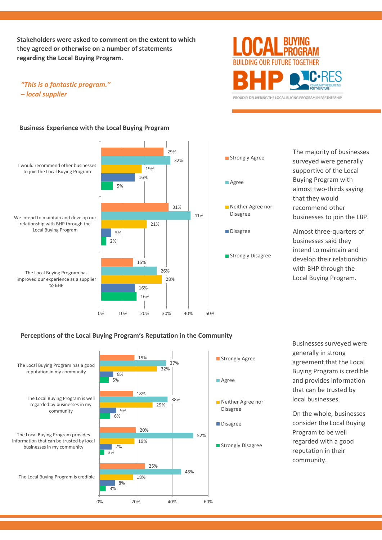**Stakeholders were asked to comment on the extent to which they agreed or otherwise on a number of statements regarding the Local Buying Program.**

## *"This is a fantastic program." – local supplier*



PROUDLY DELIVERING THE LOCAL BUYING PROGRAM IN PARTNERSHIP

#### **Business Experience with the Local Buying Program**





41%

The majority of businesses surveyed were generally supportive of the Local Buying Program with almost two-thirds saying that they would recommend other businesses to join the LBP.

Almost three-quarters of businesses said they intend to maintain and develop their relationship with BHP through the Local Buying Program.

### **Perceptions of the Local Buying Program's Reputation in the Community**



Businesses surveyed were generally in strong agreement that the Local Buying Program is credible and provides information that can be trusted by local businesses.

On the whole, businesses consider the Local Buying Program to be well regarded with a good reputation in their community.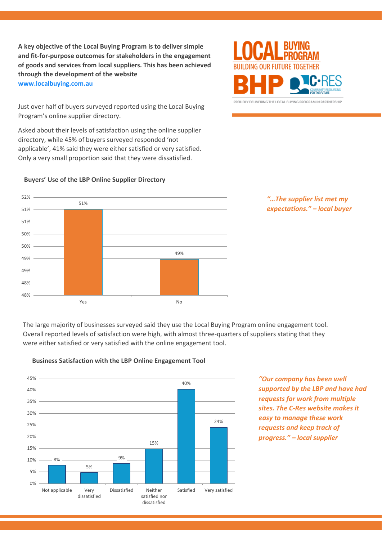**A key objective of the Local Buying Program is to deliver simple and fit-for-purpose outcomes for stakeholders in the engagement of goods and services from local suppliers. This has been achieved through the development of the website [www.localbuying.com.au](http://www.localbuying.com.au/)**

Just over half of buyers surveyed reported using the Local Buying Program's online supplier directory.

Asked about their levels of satisfaction using the online supplier directory, while 45% of buyers surveyed responded 'not applicable', 41% said they were either satisfied or very satisfied. Only a very small proportion said that they were dissatisfied.



PROUDLY DELIVERING THE LOCAL BUYING PROGRAM IN PARTNERSHIP



#### **Buyers' Use of the LBP Online Supplier Directory**



The large majority of businesses surveyed said they use the Local Buying Program online engagement tool. Overall reported levels of satisfaction were high, with almost three-quarters of suppliers stating that they were either satisfied or very satisfied with the online engagement tool.



#### **Business Satisfaction with the LBP Online Engagement Tool**

*"Our company has been well supported by the LBP and have had requests for work from multiple sites. The C-Res website makes it easy to manage these work requests and keep track of progress." – local supplier*